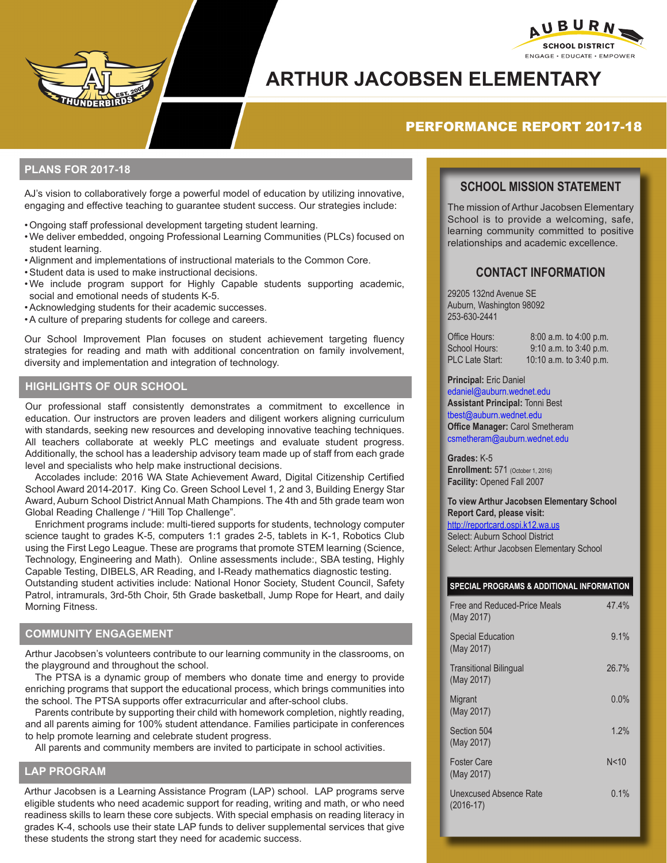

# **ARTHUR JACOBSEN ELEMENTARY**

# PERFORMANCE REPORT 2017-18

### **PLANS FOR 2017-18**

AJ's vision to collaboratively forge a powerful model of education by utilizing innovative, engaging and effective teaching to guarantee student success. Our strategies include:

- •Ongoing staff professional development targeting student learning.
- •We deliver embedded, ongoing Professional Learning Communities (PLCs) focused on student learning.
- •Alignment and implementations of instructional materials to the Common Core.
- •Student data is used to make instructional decisions.
- •We include program support for Highly Capable students supporting academic, social and emotional needs of students K-5.
- •Acknowledging students for their academic successes.
- •A culture of preparing students for college and careers.

Our School Improvement Plan focuses on student achievement targeting fluency strategies for reading and math with additional concentration on family involvement, diversity and implementation and integration of technology.

## **HIGHLIGHTS OF OUR SCHOOL**

Our professional staff consistently demonstrates a commitment to excellence in education. Our instructors are proven leaders and diligent workers aligning curriculum with standards, seeking new resources and developing innovative teaching techniques. All teachers collaborate at weekly PLC meetings and evaluate student progress. Additionally, the school has a leadership advisory team made up of staff from each grade level and specialists who help make instructional decisions.

Accolades include: 2016 WA State Achievement Award, Digital Citizenship Certified School Award 2014-2017. King Co. Green School Level 1, 2 and 3, Building Energy Star Award, Auburn School District Annual Math Champions. The 4th and 5th grade team won Global Reading Challenge / "Hill Top Challenge".

Enrichment programs include: multi-tiered supports for students, technology computer science taught to grades K-5, computers 1:1 grades 2-5, tablets in K-1, Robotics Club using the First Lego League. These are programs that promote STEM learning (Science, Technology, Engineering and Math). Online assessments include:, SBA testing, Highly Capable Testing, DIBELS, AR Reading, and I-Ready mathematics diagnostic testing. Outstanding student activities include: National Honor Society, Student Council, Safety Patrol, intramurals, 3rd-5th Choir, 5th Grade basketball, Jump Rope for Heart, and daily Morning Fitness.

#### **COMMUNITY ENGAGEMENT**

Arthur Jacobsen's volunteers contribute to our learning community in the classrooms, on the playground and throughout the school.

The PTSA is a dynamic group of members who donate time and energy to provide enriching programs that support the educational process, which brings communities into the school. The PTSA supports offer extracurricular and after-school clubs.

Parents contribute by supporting their child with homework completion, nightly reading, and all parents aiming for 100% student attendance. Families participate in conferences to help promote learning and celebrate student progress.

All parents and community members are invited to participate in school activities.

#### **LAP PROGRAM**

Arthur Jacobsen is a Learning Assistance Program (LAP) school. LAP programs serve eligible students who need academic support for reading, writing and math, or who need readiness skills to learn these core subjects. With special emphasis on reading literacy in grades K-4, schools use their state LAP funds to deliver supplemental services that give these students the strong start they need for academic success.

# **SCHOOL MISSION STATEMENT**

AUBURNY **SCHOOL DISTRICT** ENGAGE · EDUCATE · EMPOWER

The mission of Arthur Jacobsen Elementary School is to provide a welcoming, safe, learning community committed to positive relationships and academic excellence.

## **CONTACT INFORMATION**

29205 132nd Avenue SE Auburn, Washington 98092 253-630-2441

| Office Hours:          | 8:00 a.m. to 4:00 p.m.    |
|------------------------|---------------------------|
| School Hours:          | $9:10$ a.m. to 3:40 p.m.  |
| <b>PLC Late Start:</b> | 10:10 a.m. to $3:40$ p.m. |

#### **Principal:** Eric Daniel

edaniel@auburn.wednet.edu **Assistant Principal:** Tonni Best tbest@auburn.wednet.edu **Office Manager:** Carol Smetheram csmetheram@auburn.wednet.edu

**Grades:** K-5 **Enrollment:** 571 (October 1, 2016) **Facility:** Opened Fall 2007

**To view Arthur Jacobsen Elementary School Report Card, please visit:**  http://reportcard.ospi.k12.wa.us Select: Auburn School District Select: Arthur Jacobsen Elementary School

#### **SPECIAL PROGRAMS & ADDITIONAL INFORMATION**

| Free and Reduced-Price Meals<br>(May 2017)  | 47.4% |
|---------------------------------------------|-------|
| <b>Special Education</b><br>(May 2017)      | 9.1%  |
| <b>Transitional Bilingual</b><br>(May 2017) | 26.7% |
| Migrant<br>(May 2017)                       | 0.0%  |
| Section 504<br>(May 2017)                   | 1.2%  |
| <b>Foster Care</b><br>(May 2017)            | N<10  |
| Unexcused Absence Rate<br>$(2016-17)$       | 0.1%  |